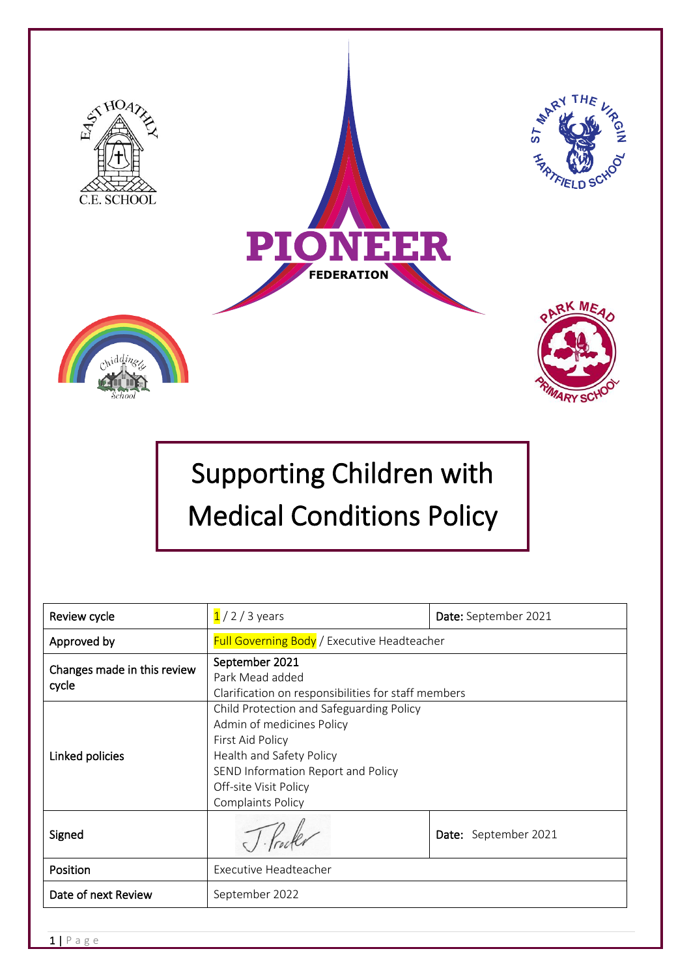

# Supporting Children with Medical Conditions Policy

| Review cycle                         | $1/2/3$ years                                                                                                                                                                                                    | Date: September 2021 |
|--------------------------------------|------------------------------------------------------------------------------------------------------------------------------------------------------------------------------------------------------------------|----------------------|
| Approved by                          | <b>Full Governing Body</b> / Executive Headteacher                                                                                                                                                               |                      |
| Changes made in this review<br>cycle | September 2021<br>Park Mead added<br>Clarification on responsibilities for staff members                                                                                                                         |                      |
| Linked policies                      | Child Protection and Safeguarding Policy<br>Admin of medicines Policy<br>First Aid Policy<br>Health and Safety Policy<br>SEND Information Report and Policy<br>Off-site Visit Policy<br><b>Complaints Policy</b> |                      |
| Signed                               |                                                                                                                                                                                                                  | Date: September 2021 |
| <b>Position</b>                      | Executive Headteacher                                                                                                                                                                                            |                      |
| Date of next Review                  | September 2022                                                                                                                                                                                                   |                      |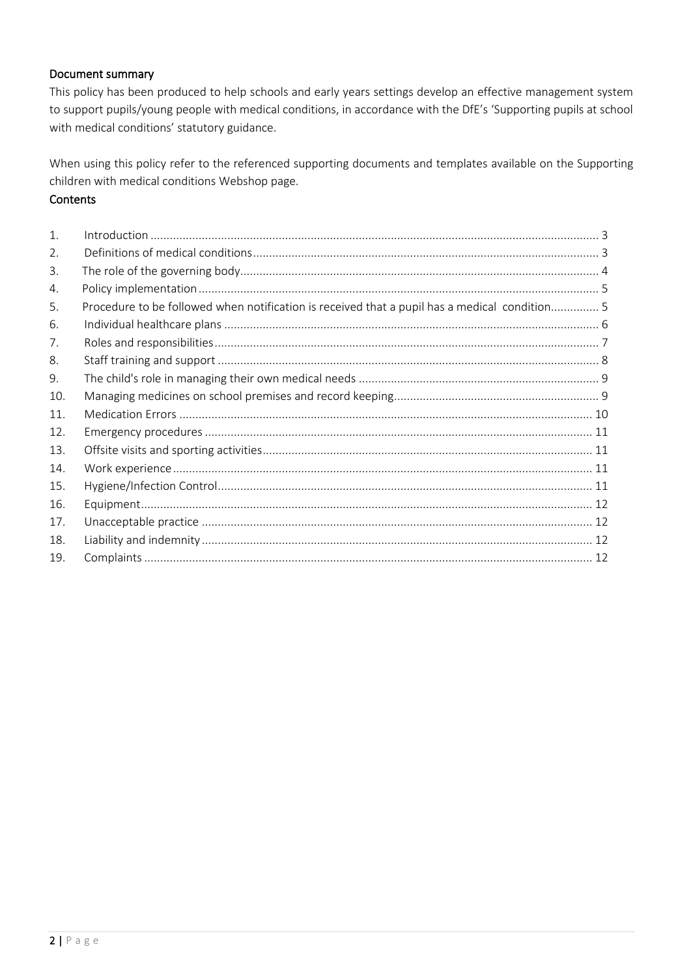#### Document summary

This policy has been produced to help schools and early years settings develop an effective management system to support pupils/young people with medical conditions, in accordance with the DfE's 'Supporting pupils at school with medical conditions' statutory guidance.

When using this policy refer to the referenced supporting documents and templates available on the Supporting children with medical conditions Webshop page.

# **Contents**

| 1.  |                                                                                               |  |
|-----|-----------------------------------------------------------------------------------------------|--|
| 2.  |                                                                                               |  |
| 3.  |                                                                                               |  |
| 4.  |                                                                                               |  |
| 5.  | Procedure to be followed when notification is received that a pupil has a medical condition 5 |  |
| 6.  |                                                                                               |  |
| 7.  |                                                                                               |  |
| 8.  |                                                                                               |  |
| 9.  |                                                                                               |  |
| 10. |                                                                                               |  |
| 11. |                                                                                               |  |
| 12. |                                                                                               |  |
| 13. |                                                                                               |  |
| 14. |                                                                                               |  |
| 15. |                                                                                               |  |
| 16. |                                                                                               |  |
| 17. |                                                                                               |  |
| 18. |                                                                                               |  |
| 19. |                                                                                               |  |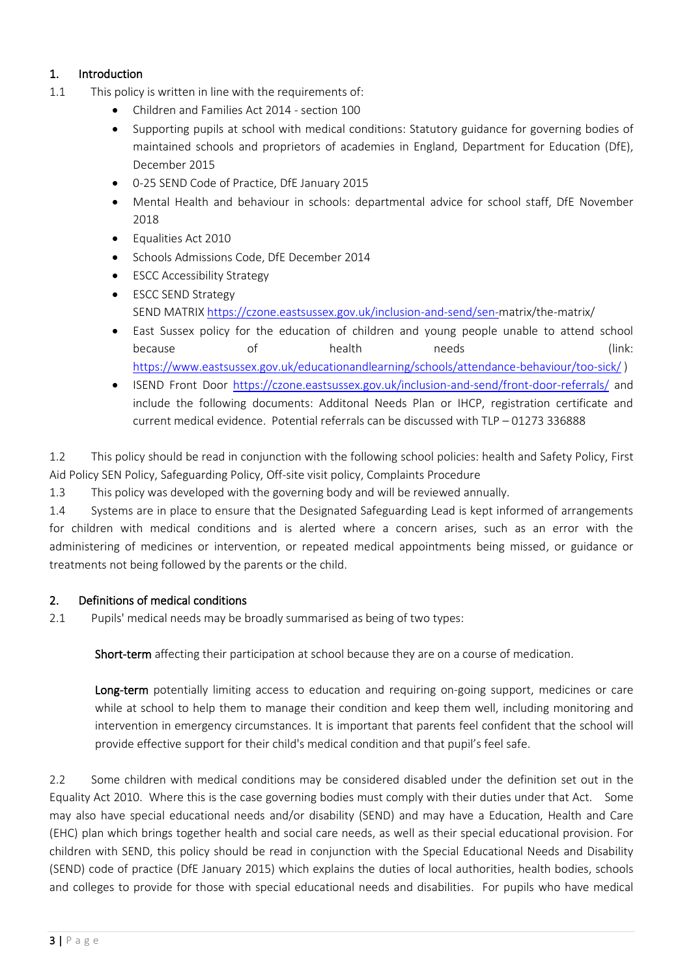# <span id="page-2-0"></span>1. Introduction

- 1.1 This policy is written in line with the requirements of:
	- Children and Families Act 2014 section 100
	- Supporting pupils at school with medical conditions: Statutory guidance for governing bodies of maintained schools and proprietors of academies in England, Department for Education (DfE), December 2015
	- 0-25 SEND Code of Practice, DfE January 2015
	- Mental Health and behaviour in schools: departmental advice for school staff, DfE November 2018
	- Equalities Act 2010
	- Schools Admissions Code, DfE December 2014
	- ESCC Accessibility Strategy
	- ESCC SEND Strategy SEND MATRI[X https://czone.eastsussex.gov.uk/inclusion-and-send/sen-m](https://czone.eastsussex.gov.uk/inclusion-and-send/sen-)atrix/the-matrix/
	- East Sussex policy for the education of children and young people unable to attend school because of health needs (link: <https://www.eastsussex.gov.uk/educationandlearning/schools/attendance-behaviour/too-sick/> )
	- ISEND Front Door <https://czone.eastsussex.gov.uk/inclusion-and-send/front-door-referrals/> and include the following documents: Additonal Needs Plan or IHCP, registration certificate and current medical evidence. Potential referrals can be discussed with TLP – 01273 336888

1.2 This policy should be read in conjunction with the following school policies: health and Safety Policy, First Aid Policy SEN Policy, Safeguarding Policy, Off-site visit policy, Complaints Procedure

1.3 This policy was developed with the governing body and will be reviewed annually.

1.4 Systems are in place to ensure that the Designated Safeguarding Lead is kept informed of arrangements for children with medical conditions and is alerted where a concern arises, such as an error with the administering of medicines or intervention, or repeated medical appointments being missed, or guidance or treatments not being followed by the parents or the child.

#### <span id="page-2-1"></span>2. Definitions of medical conditions

2.1 Pupils' medical needs may be broadly summarised as being of two types:

Short-term affecting their participation at school because they are on a course of medication.

Long-term potentially limiting access to education and requiring on-going support, medicines or care while at school to help them to manage their condition and keep them well, including monitoring and intervention in emergency circumstances. It is important that parents feel confident that the school will provide effective support for their child's medical condition and that pupil's feel safe.

2.2 Some children with medical conditions may be considered disabled under the definition set out in the Equality Act 2010. Where this is the case governing bodies must comply with their duties under that Act. Some may also have special educational needs and/or disability (SEND) and may have a Education, Health and Care (EHC) plan which brings together health and social care needs, as well as their special educational provision. For children with SEND, this policy should be read in conjunction with the Special Educational Needs and Disability (SEND) code of practice (DfE January 2015) which explains the duties of local authorities, health bodies, schools and colleges to provide for those with special educational needs and disabilities. For pupils who have medical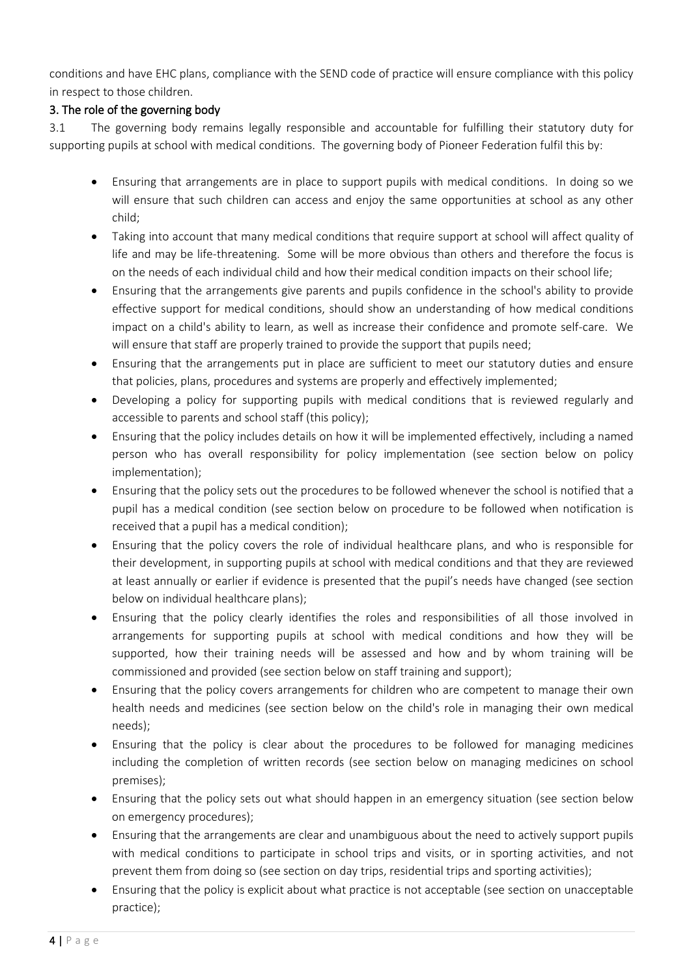conditions and have EHC plans, compliance with the SEND code of practice will ensure compliance with this policy in respect to those children.

# <span id="page-3-0"></span>3. The role of the governing body

3.1 The governing body remains legally responsible and accountable for fulfilling their statutory duty for supporting pupils at school with medical conditions. The governing body of Pioneer Federation fulfil this by:

- Ensuring that arrangements are in place to support pupils with medical conditions. In doing so we will ensure that such children can access and enjoy the same opportunities at school as any other child;
- Taking into account that many medical conditions that require support at school will affect quality of life and may be life-threatening. Some will be more obvious than others and therefore the focus is on the needs of each individual child and how their medical condition impacts on their school life;
- Ensuring that the arrangements give parents and pupils confidence in the school's ability to provide effective support for medical conditions, should show an understanding of how medical conditions impact on a child's ability to learn, as well as increase their confidence and promote self-care. We will ensure that staff are properly trained to provide the support that pupils need;
- Ensuring that the arrangements put in place are sufficient to meet our statutory duties and ensure that policies, plans, procedures and systems are properly and effectively implemented;
- Developing a policy for supporting pupils with medical conditions that is reviewed regularly and accessible to parents and school staff (this policy);
- Ensuring that the policy includes details on how it will be implemented effectively, including a named person who has overall responsibility for policy implementation (see section below on policy implementation);
- Ensuring that the policy sets out the procedures to be followed whenever the school is notified that a pupil has a medical condition (see section below on procedure to be followed when notification is received that a pupil has a medical condition);
- Ensuring that the policy covers the role of individual healthcare plans, and who is responsible for their development, in supporting pupils at school with medical conditions and that they are reviewed at least annually or earlier if evidence is presented that the pupil's needs have changed (see section below on individual healthcare plans);
- Ensuring that the policy clearly identifies the roles and responsibilities of all those involved in arrangements for supporting pupils at school with medical conditions and how they will be supported, how their training needs will be assessed and how and by whom training will be commissioned and provided (see section below on staff training and support);
- Ensuring that the policy covers arrangements for children who are competent to manage their own health needs and medicines (see section below on the child's role in managing their own medical needs);
- Ensuring that the policy is clear about the procedures to be followed for managing medicines including the completion of written records (see section below on managing medicines on school premises);
- Ensuring that the policy sets out what should happen in an emergency situation (see section below on emergency procedures);
- Ensuring that the arrangements are clear and unambiguous about the need to actively support pupils with medical conditions to participate in school trips and visits, or in sporting activities, and not prevent them from doing so (see section on day trips, residential trips and sporting activities);
- Ensuring that the policy is explicit about what practice is not acceptable (see section on unacceptable practice);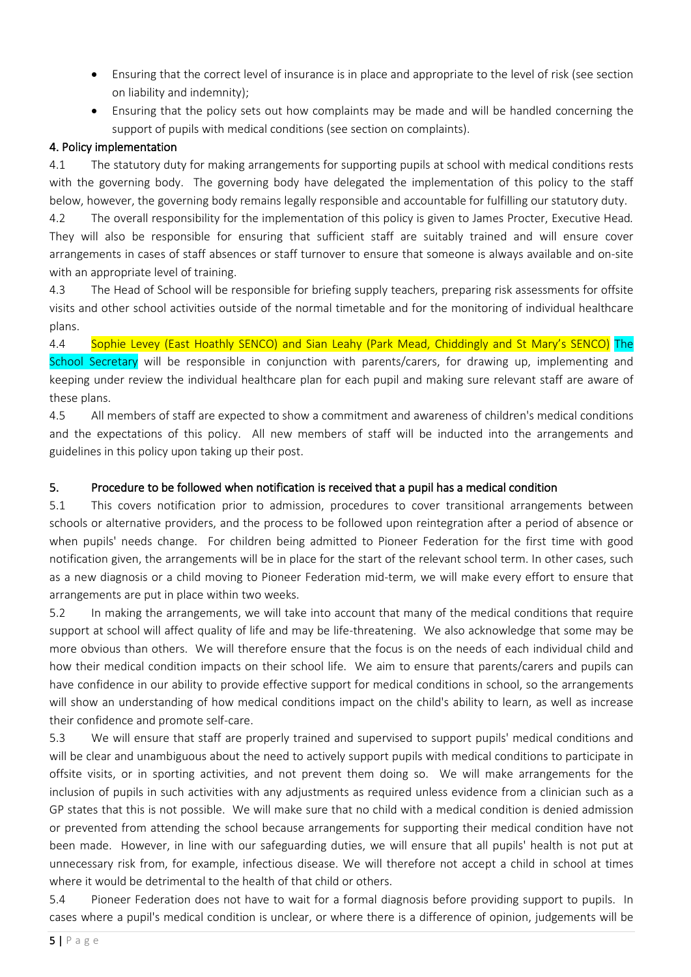- Ensuring that the correct level of insurance is in place and appropriate to the level of risk (see section on liability and indemnity);
- Ensuring that the policy sets out how complaints may be made and will be handled concerning the support of pupils with medical conditions (see section on complaints).

#### <span id="page-4-0"></span>4. Policy implementation

4.1 The statutory duty for making arrangements for supporting pupils at school with medical conditions rests with the governing body. The governing body have delegated the implementation of this policy to the staff below, however, the governing body remains legally responsible and accountable for fulfilling our statutory duty.

4.2 The overall responsibility for the implementation of this policy is given to James Procter, Executive Head*.* They will also be responsible for ensuring that sufficient staff are suitably trained and will ensure cover arrangements in cases of staff absences or staff turnover to ensure that someone is always available and on-site with an appropriate level of training.

4.3 The Head of School will be responsible for briefing supply teachers, preparing risk assessments for offsite visits and other school activities outside of the normal timetable and for the monitoring of individual healthcare plans.

4.4 Sophie Levey (East Hoathly SENCO) and Sian Leahy (Park Mead, Chiddingly and St Mary's SENCO) The School Secretary will be responsible in conjunction with parents/carers, for drawing up, implementing and keeping under review the individual healthcare plan for each pupil and making sure relevant staff are aware of these plans.

4.5 All members of staff are expected to show a commitment and awareness of children's medical conditions and the expectations of this policy. All new members of staff will be inducted into the arrangements and guidelines in this policy upon taking up their post.

# <span id="page-4-1"></span>5. Procedure to be followed when notification is received that a pupil has a medical condition

5.1 This covers notification prior to admission, procedures to cover transitional arrangements between schools or alternative providers, and the process to be followed upon reintegration after a period of absence or when pupils' needs change. For children being admitted to Pioneer Federation for the first time with good notification given, the arrangements will be in place for the start of the relevant school term. In other cases, such as a new diagnosis or a child moving to Pioneer Federation mid-term, we will make every effort to ensure that arrangements are put in place within two weeks.

5.2 In making the arrangements, we will take into account that many of the medical conditions that require support at school will affect quality of life and may be life-threatening. We also acknowledge that some may be more obvious than others. We will therefore ensure that the focus is on the needs of each individual child and how their medical condition impacts on their school life. We aim to ensure that parents/carers and pupils can have confidence in our ability to provide effective support for medical conditions in school, so the arrangements will show an understanding of how medical conditions impact on the child's ability to learn, as well as increase their confidence and promote self-care.

5.3 We will ensure that staff are properly trained and supervised to support pupils' medical conditions and will be clear and unambiguous about the need to actively support pupils with medical conditions to participate in offsite visits, or in sporting activities, and not prevent them doing so. We will make arrangements for the inclusion of pupils in such activities with any adjustments as required unless evidence from a clinician such as a GP states that this is not possible. We will make sure that no child with a medical condition is denied admission or prevented from attending the school because arrangements for supporting their medical condition have not been made. However, in line with our safeguarding duties, we will ensure that all pupils' health is not put at unnecessary risk from, for example, infectious disease. We will therefore not accept a child in school at times where it would be detrimental to the health of that child or others.

5.4 Pioneer Federation does not have to wait for a formal diagnosis before providing support to pupils. In cases where a pupil's medical condition is unclear, or where there is a difference of opinion, judgements will be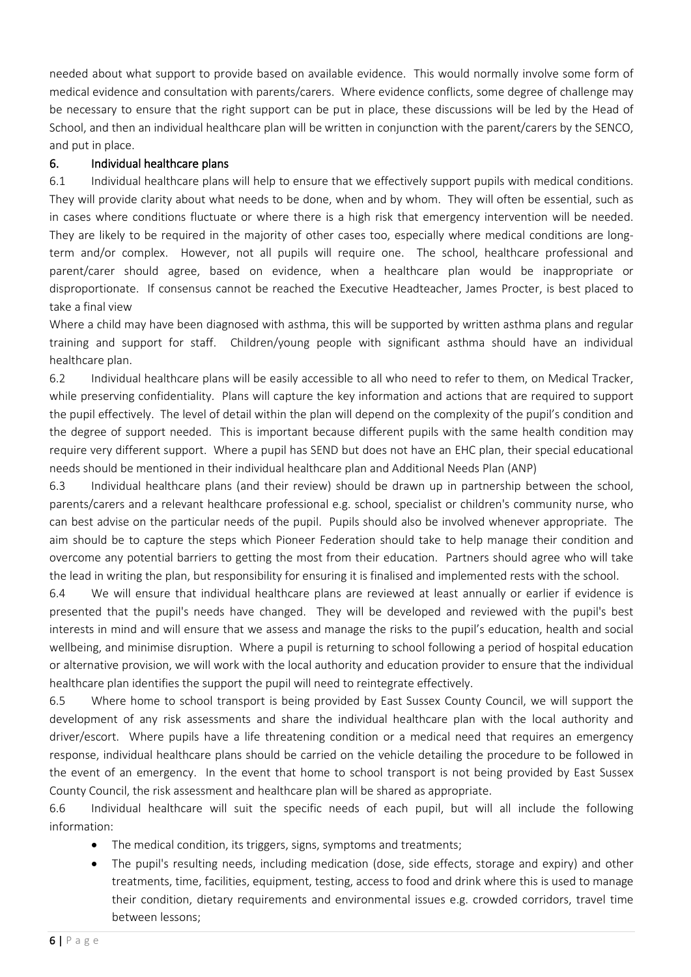needed about what support to provide based on available evidence. This would normally involve some form of medical evidence and consultation with parents/carers. Where evidence conflicts, some degree of challenge may be necessary to ensure that the right support can be put in place, these discussions will be led by the Head of School, and then an individual healthcare plan will be written in conjunction with the parent/carers by the SENCO, and put in place.

#### <span id="page-5-0"></span>6. Individual healthcare plans

6.1 Individual healthcare plans will help to ensure that we effectively support pupils with medical conditions. They will provide clarity about what needs to be done, when and by whom. They will often be essential, such as in cases where conditions fluctuate or where there is a high risk that emergency intervention will be needed. They are likely to be required in the majority of other cases too, especially where medical conditions are longterm and/or complex. However, not all pupils will require one. The school, healthcare professional and parent/carer should agree, based on evidence, when a healthcare plan would be inappropriate or disproportionate. If consensus cannot be reached the Executive Headteacher, James Procter, is best placed to take a final view

Where a child may have been diagnosed with asthma, this will be supported by written asthma plans and regular training and support for staff. Children/young people with significant asthma should have an individual healthcare plan.

6.2 Individual healthcare plans will be easily accessible to all who need to refer to them, on Medical Tracker, while preserving confidentiality. Plans will capture the key information and actions that are required to support the pupil effectively. The level of detail within the plan will depend on the complexity of the pupil's condition and the degree of support needed. This is important because different pupils with the same health condition may require very different support. Where a pupil has SEND but does not have an EHC plan, their special educational needs should be mentioned in their individual healthcare plan and Additional Needs Plan (ANP)

6.3 Individual healthcare plans (and their review) should be drawn up in partnership between the school, parents/carers and a relevant healthcare professional e.g. school, specialist or children's community nurse, who can best advise on the particular needs of the pupil. Pupils should also be involved whenever appropriate. The aim should be to capture the steps which Pioneer Federation should take to help manage their condition and overcome any potential barriers to getting the most from their education. Partners should agree who will take the lead in writing the plan, but responsibility for ensuring it is finalised and implemented rests with the school.

6.4 We will ensure that individual healthcare plans are reviewed at least annually or earlier if evidence is presented that the pupil's needs have changed. They will be developed and reviewed with the pupil's best interests in mind and will ensure that we assess and manage the risks to the pupil's education, health and social wellbeing, and minimise disruption. Where a pupil is returning to school following a period of hospital education or alternative provision, we will work with the local authority and education provider to ensure that the individual healthcare plan identifies the support the pupil will need to reintegrate effectively.

6.5 Where home to school transport is being provided by East Sussex County Council, we will support the development of any risk assessments and share the individual healthcare plan with the local authority and driver/escort. Where pupils have a life threatening condition or a medical need that requires an emergency response, individual healthcare plans should be carried on the vehicle detailing the procedure to be followed in the event of an emergency. In the event that home to school transport is not being provided by East Sussex County Council, the risk assessment and healthcare plan will be shared as appropriate.

6.6 Individual healthcare will suit the specific needs of each pupil, but will all include the following information:

- The medical condition, its triggers, signs, symptoms and treatments;
- The pupil's resulting needs, including medication (dose, side effects, storage and expiry) and other treatments, time, facilities, equipment, testing, access to food and drink where this is used to manage their condition, dietary requirements and environmental issues e.g. crowded corridors, travel time between lessons;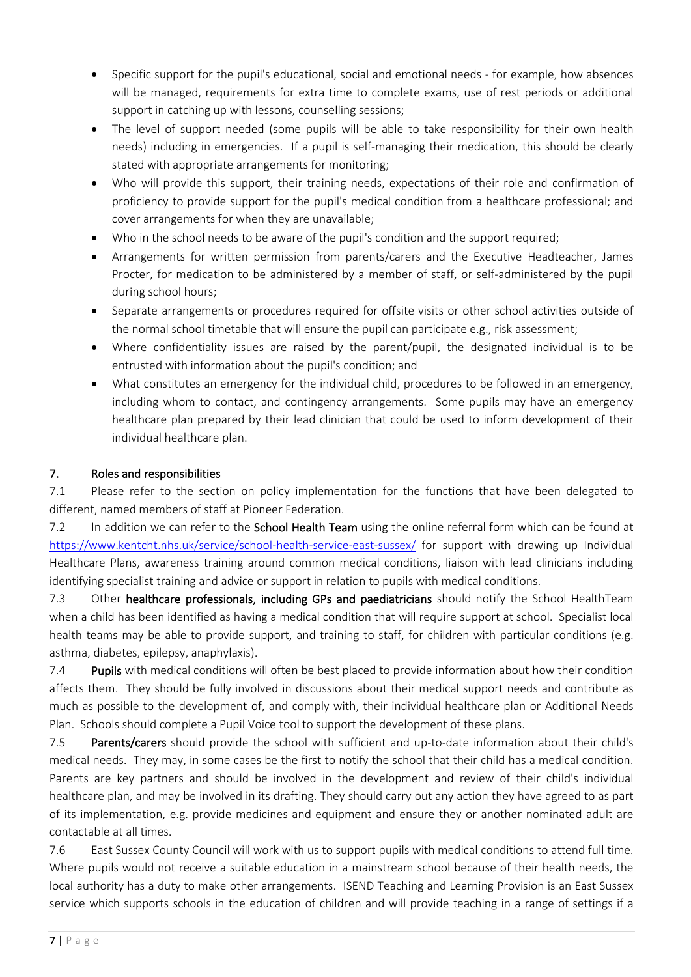- Specific support for the pupil's educational, social and emotional needs for example, how absences will be managed, requirements for extra time to complete exams, use of rest periods or additional support in catching up with lessons, counselling sessions;
- The level of support needed (some pupils will be able to take responsibility for their own health needs) including in emergencies. If a pupil is self-managing their medication, this should be clearly stated with appropriate arrangements for monitoring;
- Who will provide this support, their training needs, expectations of their role and confirmation of proficiency to provide support for the pupil's medical condition from a healthcare professional; and cover arrangements for when they are unavailable;
- Who in the school needs to be aware of the pupil's condition and the support required;
- Arrangements for written permission from parents/carers and the Executive Headteacher, James Procter, for medication to be administered by a member of staff, or self-administered by the pupil during school hours;
- Separate arrangements or procedures required for offsite visits or other school activities outside of the normal school timetable that will ensure the pupil can participate e.g., risk assessment;
- Where confidentiality issues are raised by the parent/pupil, the designated individual is to be entrusted with information about the pupil's condition; and
- What constitutes an emergency for the individual child, procedures to be followed in an emergency, including whom to contact, and contingency arrangements. Some pupils may have an emergency healthcare plan prepared by their lead clinician that could be used to inform development of their individual healthcare plan.

# <span id="page-6-0"></span>7. Roles and responsibilities

7.1 Please refer to the section on policy implementation for the functions that have been delegated to different, named members of staff at Pioneer Federation.

7.2 In addition we can refer to the **School Health Team** using the online referral form which can be found at <https://www.kentcht.nhs.uk/service/school-health-service-east-sussex/> for support with drawing up Individual Healthcare Plans, awareness training around common medical conditions, liaison with lead clinicians including identifying specialist training and advice or support in relation to pupils with medical conditions.

7.3 Other healthcare professionals, including GPs and paediatricians should notify the School HealthTeam when a child has been identified as having a medical condition that will require support at school. Specialist local health teams may be able to provide support, and training to staff, for children with particular conditions (e.g. asthma, diabetes, epilepsy, anaphylaxis).

7.4 Pupils with medical conditions will often be best placed to provide information about how their condition affects them. They should be fully involved in discussions about their medical support needs and contribute as much as possible to the development of, and comply with, their individual healthcare plan or Additional Needs Plan. Schools should complete a Pupil Voice tool to support the development of these plans.

7.5 Parents/carers should provide the school with sufficient and up-to-date information about their child's medical needs. They may, in some cases be the first to notify the school that their child has a medical condition. Parents are key partners and should be involved in the development and review of their child's individual healthcare plan, and may be involved in its drafting. They should carry out any action they have agreed to as part of its implementation, e.g. provide medicines and equipment and ensure they or another nominated adult are contactable at all times.

7.6 East Sussex County Council will work with us to support pupils with medical conditions to attend full time. Where pupils would not receive a suitable education in a mainstream school because of their health needs, the local authority has a duty to make other arrangements. ISEND Teaching and Learning Provision is an East Sussex service which supports schools in the education of children and will provide teaching in a range of settings if a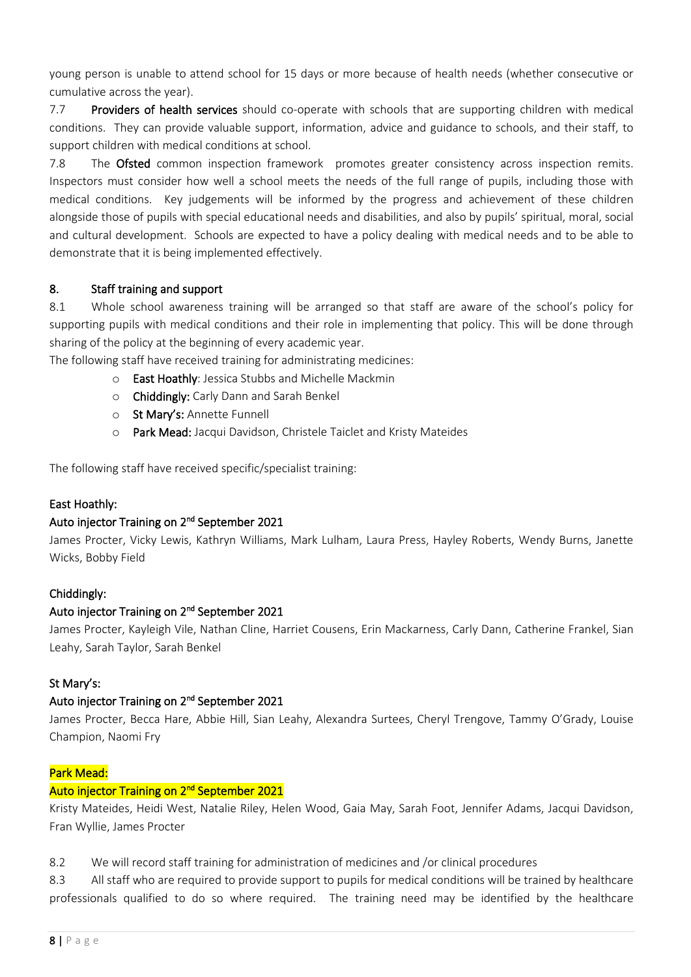young person is unable to attend school for 15 days or more because of health needs (whether consecutive or cumulative across the year).

7.7 Providers of health services should co-operate with schools that are supporting children with medical conditions. They can provide valuable support, information, advice and guidance to schools, and their staff, to support children with medical conditions at school.

7.8 The Ofsted common inspection framework promotes greater consistency across inspection remits. Inspectors must consider how well a school meets the needs of the full range of pupils, including those with medical conditions. Key judgements will be informed by the progress and achievement of these children alongside those of pupils with special educational needs and disabilities, and also by pupils' spiritual, moral, social and cultural development. Schools are expected to have a policy dealing with medical needs and to be able to demonstrate that it is being implemented effectively.

## <span id="page-7-0"></span>8. Staff training and support

8.1 Whole school awareness training will be arranged so that staff are aware of the school's policy for supporting pupils with medical conditions and their role in implementing that policy. This will be done through sharing of the policy at the beginning of every academic year.

The following staff have received training for administrating medicines:

- o East Hoathly: Jessica Stubbs and Michelle Mackmin
- o Chiddingly: Carly Dann and Sarah Benkel
- o St Mary's: Annette Funnell
- o Park Mead: Jacqui Davidson, Christele Taiclet and Kristy Mateides

The following staff have received specific/specialist training:

#### East Hoathly:

#### Auto injector Training on 2<sup>nd</sup> September 2021

James Procter, Vicky Lewis, Kathryn Williams, Mark Lulham, Laura Press, Hayley Roberts, Wendy Burns, Janette Wicks, Bobby Field

#### Chiddingly:

#### Auto injector Training on 2<sup>nd</sup> September 2021

James Procter, Kayleigh Vile, Nathan Cline, Harriet Cousens, Erin Mackarness, Carly Dann, Catherine Frankel, Sian Leahy, Sarah Taylor, Sarah Benkel

#### St Mary's:

#### Auto injector Training on 2<sup>nd</sup> September 2021

James Procter, Becca Hare, Abbie Hill, Sian Leahy, Alexandra Surtees, Cheryl Trengove, Tammy O'Grady, Louise Champion, Naomi Fry

#### Park Mead:

#### Auto injector Training on 2<sup>nd</sup> September 2021

Kristy Mateides, Heidi West, Natalie Riley, Helen Wood, Gaia May, Sarah Foot, Jennifer Adams, Jacqui Davidson, Fran Wyllie, James Procter

8.2 We will record staff training for administration of medicines and /or clinical procedures

8.3 All staff who are required to provide support to pupils for medical conditions will be trained by healthcare professionals qualified to do so where required. The training need may be identified by the healthcare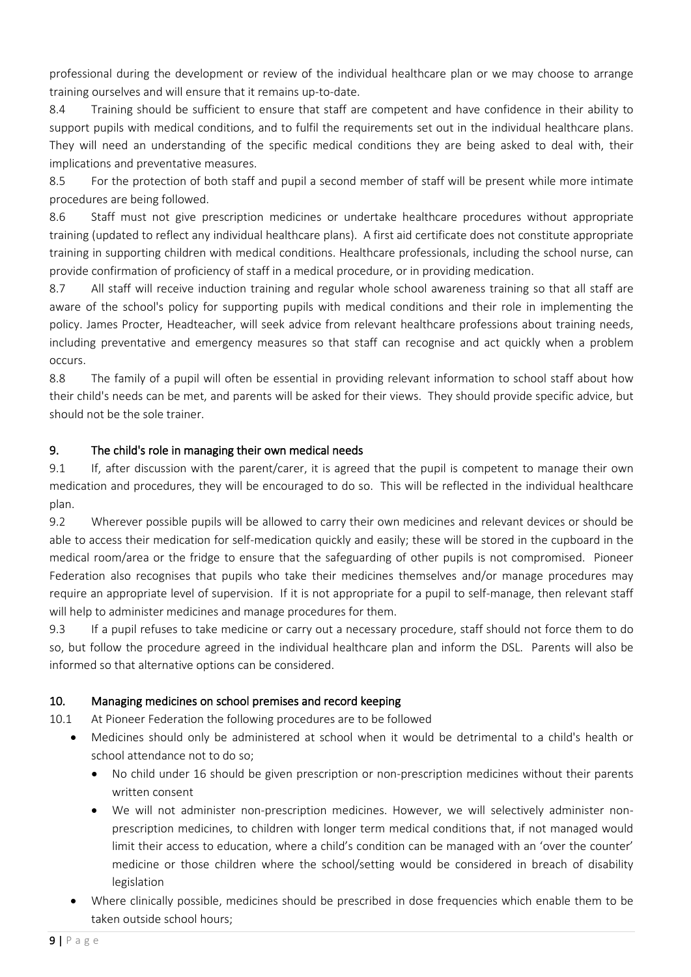professional during the development or review of the individual healthcare plan or we may choose to arrange training ourselves and will ensure that it remains up-to-date.

8.4 Training should be sufficient to ensure that staff are competent and have confidence in their ability to support pupils with medical conditions, and to fulfil the requirements set out in the individual healthcare plans. They will need an understanding of the specific medical conditions they are being asked to deal with, their implications and preventative measures.

8.5 For the protection of both staff and pupil a second member of staff will be present while more intimate procedures are being followed.

8.6 Staff must not give prescription medicines or undertake healthcare procedures without appropriate training (updated to reflect any individual healthcare plans). A first aid certificate does not constitute appropriate training in supporting children with medical conditions. Healthcare professionals, including the school nurse, can provide confirmation of proficiency of staff in a medical procedure, or in providing medication.

8.7 All staff will receive induction training and regular whole school awareness training so that all staff are aware of the school's policy for supporting pupils with medical conditions and their role in implementing the policy. James Procter, Headteacher, will seek advice from relevant healthcare professions about training needs, including preventative and emergency measures so that staff can recognise and act quickly when a problem occurs.

8.8 The family of a pupil will often be essential in providing relevant information to school staff about how their child's needs can be met, and parents will be asked for their views. They should provide specific advice, but should not be the sole trainer.

## <span id="page-8-0"></span>9. The child's role in managing their own medical needs

9.1 If, after discussion with the parent/carer, it is agreed that the pupil is competent to manage their own medication and procedures, they will be encouraged to do so. This will be reflected in the individual healthcare plan.

9.2 Wherever possible pupils will be allowed to carry their own medicines and relevant devices or should be able to access their medication for self-medication quickly and easily; these will be stored in the cupboard in the medical room/area or the fridge to ensure that the safeguarding of other pupils is not compromised. Pioneer Federation also recognises that pupils who take their medicines themselves and/or manage procedures may require an appropriate level of supervision. If it is not appropriate for a pupil to self-manage, then relevant staff will help to administer medicines and manage procedures for them.

9.3 If a pupil refuses to take medicine or carry out a necessary procedure, staff should not force them to do so, but follow the procedure agreed in the individual healthcare plan and inform the DSL. Parents will also be informed so that alternative options can be considered.

# <span id="page-8-1"></span>10. Managing medicines on school premises and record keeping

10.1 At Pioneer Federation the following procedures are to be followed

- Medicines should only be administered at school when it would be detrimental to a child's health or school attendance not to do so;
	- No child under 16 should be given prescription or non-prescription medicines without their parents written consent
	- We will not administer non-prescription medicines. However, we will selectively administer nonprescription medicines, to children with longer term medical conditions that, if not managed would limit their access to education, where a child's condition can be managed with an 'over the counter' medicine or those children where the school/setting would be considered in breach of disability legislation
- Where clinically possible, medicines should be prescribed in dose frequencies which enable them to be taken outside school hours;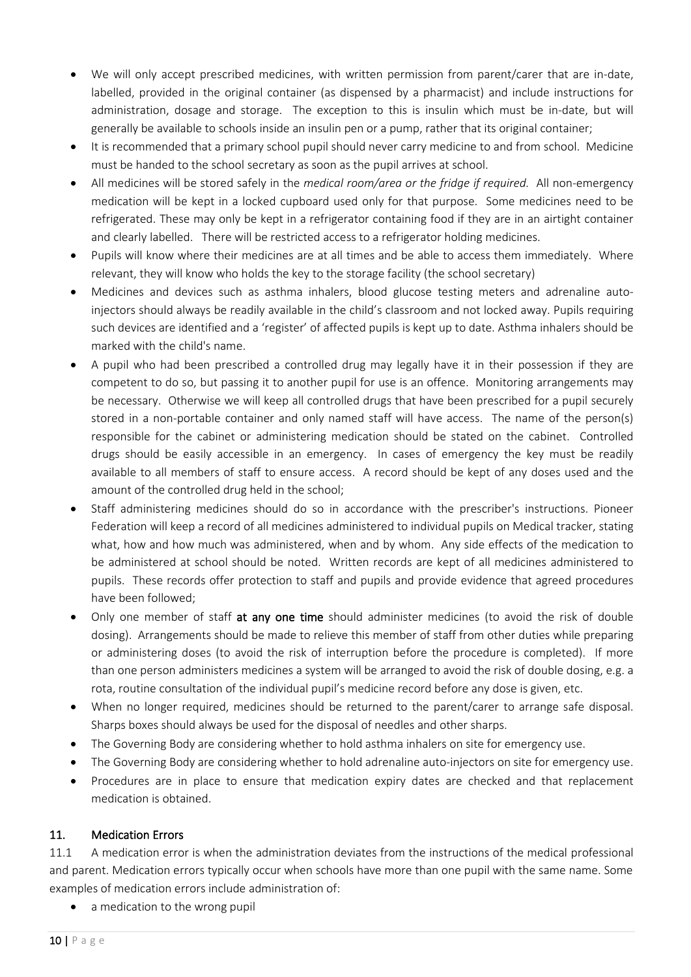- We will only accept prescribed medicines, with written permission from parent/carer that are in-date, labelled, provided in the original container (as dispensed by a pharmacist) and include instructions for administration, dosage and storage. The exception to this is insulin which must be in-date, but will generally be available to schools inside an insulin pen or a pump, rather that its original container;
- It is recommended that a primary school pupil should never carry medicine to and from school. Medicine must be handed to the school secretary as soon as the pupil arrives at school.
- All medicines will be stored safely in the *medical room/area or the fridge if required.* All non-emergency medication will be kept in a locked cupboard used only for that purpose. Some medicines need to be refrigerated. These may only be kept in a refrigerator containing food if they are in an airtight container and clearly labelled. There will be restricted access to a refrigerator holding medicines.
- Pupils will know where their medicines are at all times and be able to access them immediately. Where relevant, they will know who holds the key to the storage facility (the school secretary)
- Medicines and devices such as asthma inhalers, blood glucose testing meters and adrenaline autoinjectors should always be readily available in the child's classroom and not locked away. Pupils requiring such devices are identified and a 'register' of affected pupils is kept up to date. Asthma inhalers should be marked with the child's name.
- A pupil who had been prescribed a controlled drug may legally have it in their possession if they are competent to do so, but passing it to another pupil for use is an offence. Monitoring arrangements may be necessary. Otherwise we will keep all controlled drugs that have been prescribed for a pupil securely stored in a non-portable container and only named staff will have access. The name of the person(s) responsible for the cabinet or administering medication should be stated on the cabinet. Controlled drugs should be easily accessible in an emergency. In cases of emergency the key must be readily available to all members of staff to ensure access. A record should be kept of any doses used and the amount of the controlled drug held in the school;
- Staff administering medicines should do so in accordance with the prescriber's instructions. Pioneer Federation will keep a record of all medicines administered to individual pupils on Medical tracker, stating what, how and how much was administered, when and by whom. Any side effects of the medication to be administered at school should be noted. Written records are kept of all medicines administered to pupils. These records offer protection to staff and pupils and provide evidence that agreed procedures have been followed;
- Only one member of staff at any one time should administer medicines (to avoid the risk of double dosing). Arrangements should be made to relieve this member of staff from other duties while preparing or administering doses (to avoid the risk of interruption before the procedure is completed). If more than one person administers medicines a system will be arranged to avoid the risk of double dosing, e.g. a rota, routine consultation of the individual pupil's medicine record before any dose is given, etc.
- When no longer required, medicines should be returned to the parent/carer to arrange safe disposal. Sharps boxes should always be used for the disposal of needles and other sharps.
- The Governing Body are considering whether to hold asthma inhalers on site for emergency use.
- The Governing Body are considering whether to hold adrenaline auto-injectors on site for emergency use.
- Procedures are in place to ensure that medication expiry dates are checked and that replacement medication is obtained.

#### <span id="page-9-0"></span>11. Medication Errors

11.1 A medication error is when the administration deviates from the instructions of the medical professional and parent. Medication errors typically occur when schools have more than one pupil with the same name. Some examples of medication errors include administration of:

a medication to the wrong pupil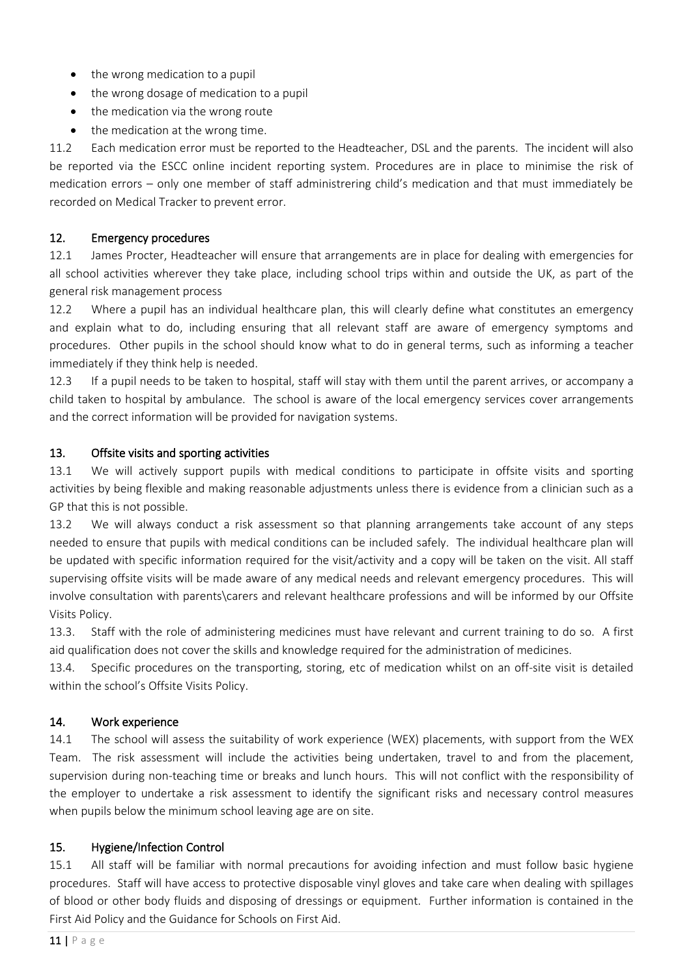- the wrong medication to a pupil
- the wrong dosage of medication to a pupil
- the medication via the wrong route
- <span id="page-10-0"></span>the medication at the wrong time.

11.2 Each medication error must be reported to the Headteacher, DSL and the parents. The incident will also be reported via the ESCC online incident reporting system. Procedures are in place to minimise the risk of medication errors – only one member of staff administrering child's medication and that must immediately be recorded on Medical Tracker to prevent error.

## 12. Emergency procedures

12.1 James Procter, Headteacher will ensure that arrangements are in place for dealing with emergencies for all school activities wherever they take place, including school trips within and outside the UK, as part of the general risk management process

12.2 Where a pupil has an individual healthcare plan, this will clearly define what constitutes an emergency and explain what to do, including ensuring that all relevant staff are aware of emergency symptoms and procedures. Other pupils in the school should know what to do in general terms, such as informing a teacher immediately if they think help is needed.

12.3 If a pupil needs to be taken to hospital, staff will stay with them until the parent arrives, or accompany a child taken to hospital by ambulance. The school is aware of the local emergency services cover arrangements and the correct information will be provided for navigation systems.

#### <span id="page-10-1"></span>13. Offsite visits and sporting activities

13.1 We will actively support pupils with medical conditions to participate in offsite visits and sporting activities by being flexible and making reasonable adjustments unless there is evidence from a clinician such as a GP that this is not possible.

13.2 We will always conduct a risk assessment so that planning arrangements take account of any steps needed to ensure that pupils with medical conditions can be included safely. The individual healthcare plan will be updated with specific information required for the visit/activity and a copy will be taken on the visit. All staff supervising offsite visits will be made aware of any medical needs and relevant emergency procedures. This will involve consultation with parents\carers and relevant healthcare professions and will be informed by our Offsite Visits Policy.

13.3. Staff with the role of administering medicines must have relevant and current training to do so. A first aid qualification does not cover the skills and knowledge required for the administration of medicines.

13.4. Specific procedures on the transporting, storing, etc of medication whilst on an off-site visit is detailed within the school's Offsite Visits Policy.

# <span id="page-10-2"></span>14. Work experience

14.1 The school will assess the suitability of work experience (WEX) placements, with support from the WEX Team. The risk assessment will include the activities being undertaken, travel to and from the placement, supervision during non-teaching time or breaks and lunch hours. This will not conflict with the responsibility of the employer to undertake a risk assessment to identify the significant risks and necessary control measures when pupils below the minimum school leaving age are on site.

#### <span id="page-10-3"></span>15. Hygiene/Infection Control

15.1 All staff will be familiar with normal precautions for avoiding infection and must follow basic hygiene procedures. Staff will have access to protective disposable vinyl gloves and take care when dealing with spillages of blood or other body fluids and disposing of dressings or equipment. Further information is contained in the First Aid Policy and the Guidance for Schools on First Aid.